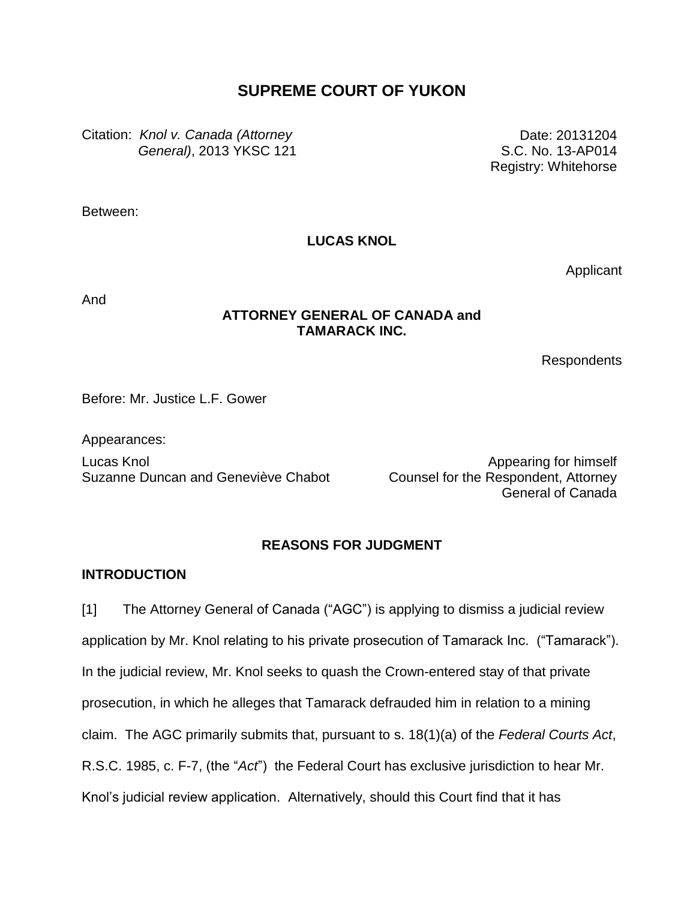# **SUPREME COURT OF YUKON**

Citation: *Knol v. Canada (Attorney General)*, 2013 YKSC 121

Date: 20131204 S.C. No. 13-AP014 Registry: Whitehorse

Between:

### **LUCAS KNOL**

Applicant

And

### **ATTORNEY GENERAL OF CANADA and TAMARACK INC.**

Respondents

Before: Mr. Justice L.F. Gower

Appearances: Lucas Knol Suzanne Duncan and Geneviève Chabot

Appearing for himself Counsel for the Respondent, Attorney General of Canada

### **REASONS FOR JUDGMENT**

#### **INTRODUCTION**

[1] The Attorney General of Canada ("AGC") is applying to dismiss a judicial review application by Mr. Knol relating to his private prosecution of Tamarack Inc. ("Tamarack"). In the judicial review, Mr. Knol seeks to quash the Crown-entered stay of that private prosecution, in which he alleges that Tamarack defrauded him in relation to a mining claim. The AGC primarily submits that, pursuant to s. 18(1)(a) of the *Federal Courts Act*, R.S.C. 1985, c. F-7, (the "*Act*") the Federal Court has exclusive jurisdiction to hear Mr. Knol's judicial review application. Alternatively, should this Court find that it has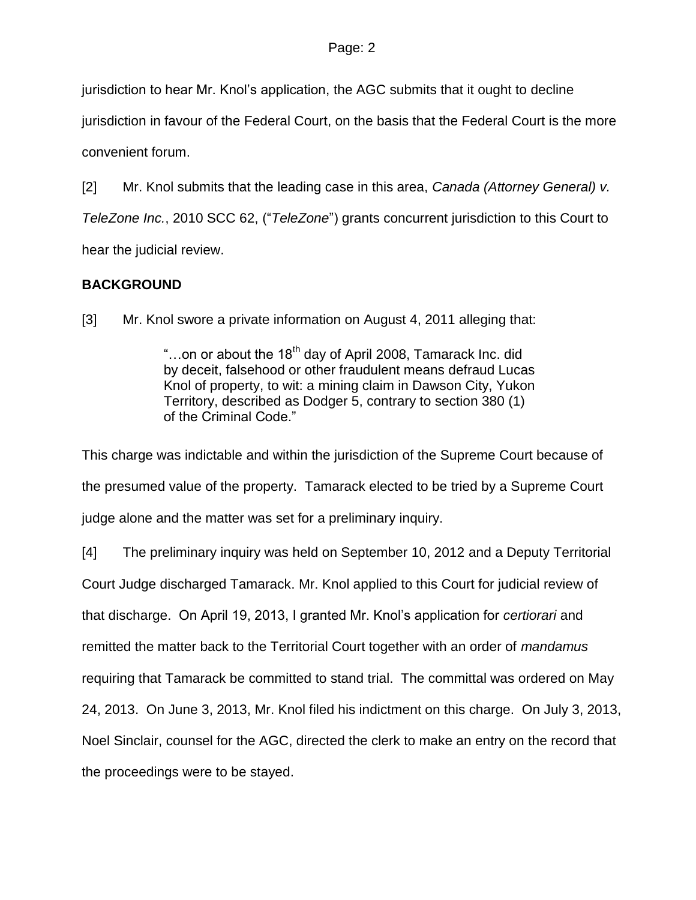jurisdiction to hear Mr. Knol's application, the AGC submits that it ought to decline

jurisdiction in favour of the Federal Court, on the basis that the Federal Court is the more convenient forum.

[2] Mr. Knol submits that the leading case in this area, *Canada (Attorney General) v. TeleZone Inc.*, 2010 SCC 62, ("*TeleZone*") grants concurrent jurisdiction to this Court to hear the judicial review.

## **BACKGROUND**

[3] Mr. Knol swore a private information on August 4, 2011 alleging that:

"...on or about the  $18<sup>th</sup>$  day of April 2008, Tamarack Inc. did by deceit, falsehood or other fraudulent means defraud Lucas Knol of property, to wit: a mining claim in Dawson City, Yukon Territory, described as Dodger 5, contrary to section 380 (1) of the Criminal Code."

This charge was indictable and within the jurisdiction of the Supreme Court because of the presumed value of the property. Tamarack elected to be tried by a Supreme Court judge alone and the matter was set for a preliminary inquiry.

[4] The preliminary inquiry was held on September 10, 2012 and a Deputy Territorial Court Judge discharged Tamarack. Mr. Knol applied to this Court for judicial review of that discharge. On April 19, 2013, I granted Mr. Knol's application for *certiorari* and remitted the matter back to the Territorial Court together with an order of *mandamus* requiring that Tamarack be committed to stand trial. The committal was ordered on May 24, 2013. On June 3, 2013, Mr. Knol filed his indictment on this charge. On July 3, 2013, Noel Sinclair, counsel for the AGC, directed the clerk to make an entry on the record that the proceedings were to be stayed.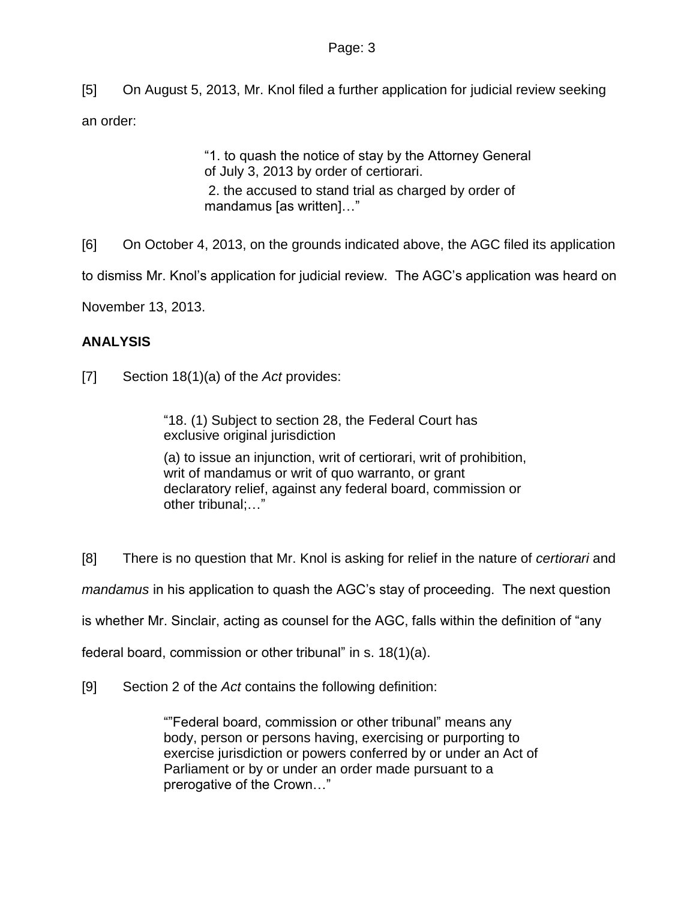#### Page: 3

[5] On August 5, 2013, Mr. Knol filed a further application for judicial review seeking an order:

> "1. to quash the notice of stay by the Attorney General of July 3, 2013 by order of certiorari. 2. the accused to stand trial as charged by order of mandamus [as written]..."

[6] On October 4, 2013, on the grounds indicated above, the AGC filed its application

to dismiss Mr. Knol's application for judicial review. The AGC's application was heard on

November 13, 2013.

#### **ANALYSIS**

[7] Section 18(1)(a) of the *Act* provides:

"18. (1) Subject to section 28, the Federal Court has exclusive original jurisdiction

(a) to issue an injunction, writ of certiorari, writ of prohibition, writ of mandamus or writ of quo warranto, or grant declaratory relief, against any federal board, commission or other tribunal;…"

[8] There is no question that Mr. Knol is asking for relief in the nature of *certiorari* and *mandamus* in his application to quash the AGC's stay of proceeding. The next question is whether Mr. Sinclair, acting as counsel for the AGC, falls within the definition of "any federal board, commission or other tribunal" in s. 18(1)(a).

[9] Section 2 of the *Act* contains the following definition:

""Federal board, commission or other tribunal" means any body, person or persons having, exercising or purporting to exercise jurisdiction or powers conferred by or under an Act of Parliament or by or under an order made pursuant to a prerogative of the Crown…"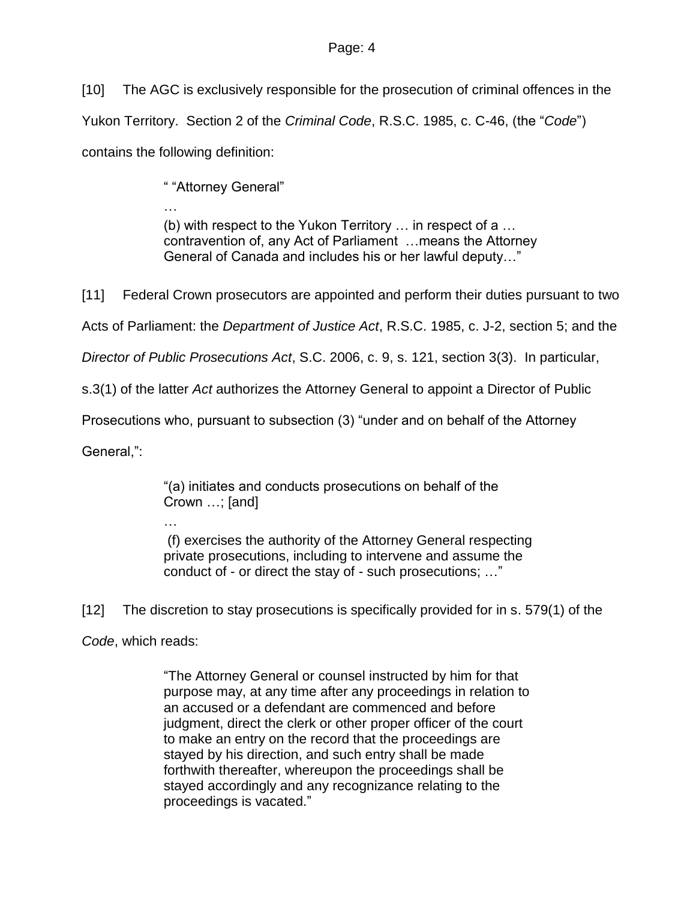[10] The AGC is exclusively responsible for the prosecution of criminal offences in the Yukon Territory. Section 2 of the *Criminal Code*, R.S.C. 1985, c. C-46, (the "*Code*") contains the following definition:

" "Attorney General"

… (b) with respect to the Yukon Territory … in respect of a … contravention of, any Act of Parliament …means the Attorney General of Canada and includes his or her lawful deputy…"

[11] Federal Crown prosecutors are appointed and perform their duties pursuant to two

Acts of Parliament: the *Department of Justice Act*, R.S.C. 1985, c. J-2, section 5; and the

*Director of Public Prosecutions Act*, S.C. 2006, c. 9, s. 121, section 3(3). In particular,

s.3(1) of the latter *Act* authorizes the Attorney General to appoint a Director of Public

Prosecutions who, pursuant to subsection (3) "under and on behalf of the Attorney

General,":

"(a) initiates and conducts prosecutions on behalf of the Crown …; [and]

…

(f) exercises the authority of the Attorney General respecting private prosecutions, including to intervene and assume the conduct of - or direct the stay of - such prosecutions; …"

[12] The discretion to stay prosecutions is specifically provided for in s. 579(1) of the

*Code*, which reads:

"The Attorney General or counsel instructed by him for that purpose may, at any time after any proceedings in relation to an accused or a defendant are commenced and before judgment, direct the clerk or other proper officer of the court to make an entry on the record that the proceedings are stayed by his direction, and such entry shall be made forthwith thereafter, whereupon the proceedings shall be stayed accordingly and any recognizance relating to the proceedings is vacated."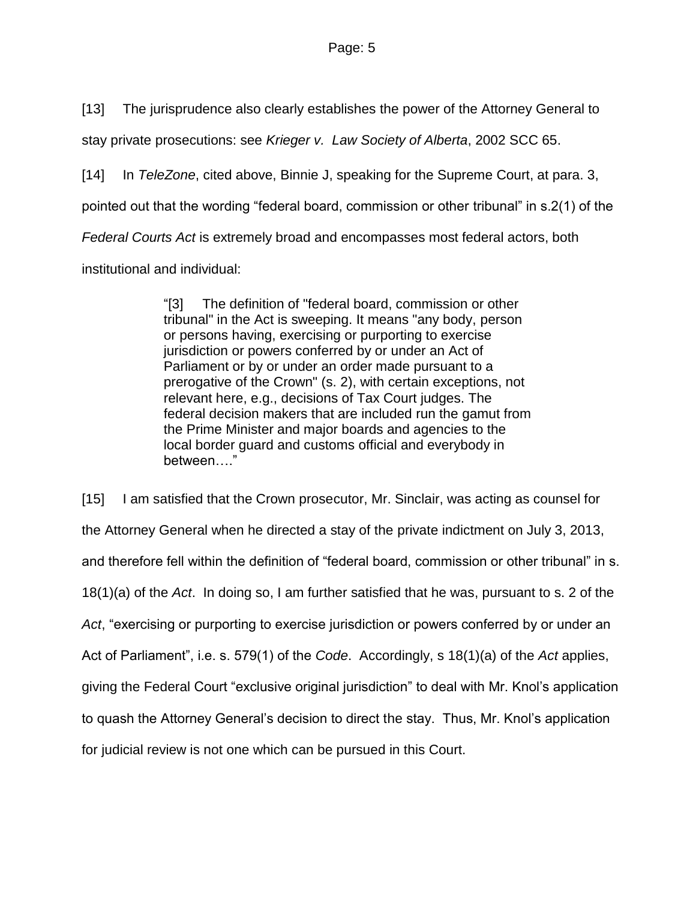[13] The jurisprudence also clearly establishes the power of the Attorney General to

stay private prosecutions: see *Krieger v. Law Society of Alberta*, 2002 SCC 65.

[14] In *TeleZone*, cited above, Binnie J, speaking for the Supreme Court, at para. 3,

pointed out that the wording "federal board, commission or other tribunal" in s.2(1) of the

*Federal Courts Act* is extremely broad and encompasses most federal actors, both

institutional and individual:

"[3] The definition of "federal board, commission or other tribunal" in the Act is sweeping. It means "any body, person or persons having, exercising or purporting to exercise jurisdiction or powers conferred by or under an Act of Parliament or by or under an order made pursuant to a prerogative of the Crown" (s. 2), with certain exceptions, not relevant here, e.g., decisions of Tax Court judges. The federal decision makers that are included run the gamut from the Prime Minister and major boards and agencies to the local border guard and customs official and everybody in between…."

[15] I am satisfied that the Crown prosecutor, Mr. Sinclair, was acting as counsel for the Attorney General when he directed a stay of the private indictment on July 3, 2013, and therefore fell within the definition of "federal board, commission or other tribunal" in s. 18(1)(a) of the *Act*. In doing so, I am further satisfied that he was, pursuant to s. 2 of the *Act*, "exercising or purporting to exercise jurisdiction or powers conferred by or under an Act of Parliament", i.e. s. 579(1) of the *Code*. Accordingly, s 18(1)(a) of the *Act* applies, giving the Federal Court "exclusive original jurisdiction" to deal with Mr. Knol's application to quash the Attorney General's decision to direct the stay. Thus, Mr. Knol's application for judicial review is not one which can be pursued in this Court.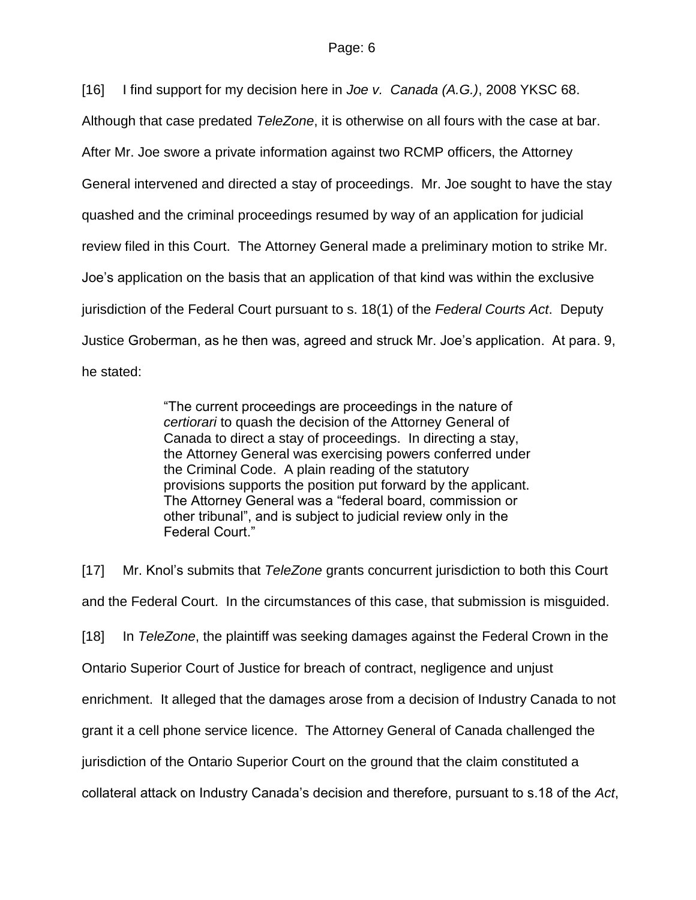[16] I find support for my decision here in *Joe v. Canada (A.G.)*, 2008 YKSC 68.

Although that case predated *TeleZone*, it is otherwise on all fours with the case at bar.

After Mr. Joe swore a private information against two RCMP officers, the Attorney

General intervened and directed a stay of proceedings. Mr. Joe sought to have the stay

quashed and the criminal proceedings resumed by way of an application for judicial

review filed in this Court. The Attorney General made a preliminary motion to strike Mr.

Joe's application on the basis that an application of that kind was within the exclusive

jurisdiction of the Federal Court pursuant to s. 18(1) of the *Federal Courts Act*. Deputy

Justice Groberman, as he then was, agreed and struck Mr. Joe's application. At para. 9,

he stated:

"The current proceedings are proceedings in the nature of *certiorari* to quash the decision of the Attorney General of Canada to direct a stay of proceedings. In directing a stay, the Attorney General was exercising powers conferred under the Criminal Code. A plain reading of the statutory provisions supports the position put forward by the applicant. The Attorney General was a "federal board, commission or other tribunal", and is subject to judicial review only in the Federal Court."

[17] Mr. Knol's submits that *TeleZone* grants concurrent jurisdiction to both this Court and the Federal Court. In the circumstances of this case, that submission is misguided. [18] In *TeleZone*, the plaintiff was seeking damages against the Federal Crown in the Ontario Superior Court of Justice for breach of contract, negligence and unjust enrichment. It alleged that the damages arose from a decision of Industry Canada to not grant it a cell phone service licence. The Attorney General of Canada challenged the jurisdiction of the Ontario Superior Court on the ground that the claim constituted a collateral attack on Industry Canada's decision and therefore, pursuant to s.18 of the *Act*,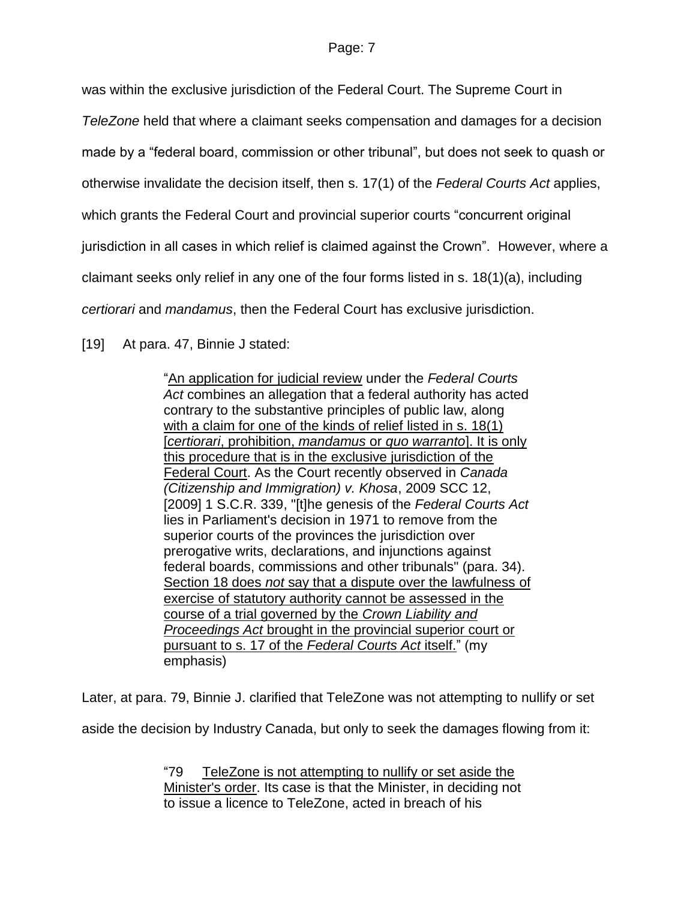was within the exclusive jurisdiction of the Federal Court. The Supreme Court in

*TeleZone* held that where a claimant seeks compensation and damages for a decision

made by a "federal board, commission or other tribunal", but does not seek to quash or

otherwise invalidate the decision itself, then s. 17(1) of the *Federal Courts Act* applies,

which grants the Federal Court and provincial superior courts "concurrent original

jurisdiction in all cases in which relief is claimed against the Crown". However, where a

claimant seeks only relief in any one of the four forms listed in s. 18(1)(a), including

*certiorari* and *mandamus*, then the Federal Court has exclusive jurisdiction.

[19] At para. 47, Binnie J stated:

"An application for judicial review under the *Federal Courts Act* combines an allegation that a federal authority has acted contrary to the substantive principles of public law, along with a claim for one of the kinds of relief listed in s. 18(1) [*certiorari*, prohibition, *mandamus* or *quo warranto*]. It is only this procedure that is in the exclusive jurisdiction of the Federal Court. As the Court recently observed in *Canada (Citizenship and Immigration) v. Khosa*, [2009 SCC 12,](http://www.lexisnexis.com/ca/legal/search/runRemoteLink.do?A=0.870340067003353&bct=A&service=citation&risb=21_T18753367042&langcountry=CA&linkInfo=F%23CA%23SCC%23sel1%252009%25year%252009%25decisiondate%252009%25onum%2512%25) [\[2009\] 1 S.C.R. 339,](http://www.lexisnexis.com/ca/legal/search/runRemoteLink.do?A=0.9585025080458833&bct=A&service=citation&risb=21_T18753367042&langcountry=CA&linkInfo=F%23CA%23SCR%23vol%251%25sel1%252009%25page%25339%25year%252009%25sel2%251%25) "[t]he genesis of the *Federal Courts Act* lies in Parliament's decision in 1971 to remove from the superior courts of the provinces the jurisdiction over prerogative writs, declarations, and injunctions against federal boards, commissions and other tribunals" (para. 34). Section 18 does *not* say that a dispute over the lawfulness of exercise of statutory authority cannot be assessed in the course of a trial governed by the *Crown Liability and Proceedings Act* brought in the provincial superior court or pursuant to s. 17 of the *Federal Courts Act* itself." (my emphasis)

Later, at para. 79, Binnie J. clarified that TeleZone was not attempting to nullify or set aside the decision by Industry Canada, but only to seek the damages flowing from it:

> "79 TeleZone is not attempting to nullify or set aside the Minister's order. Its case is that the Minister, in deciding not to issue a licence to TeleZone, acted in breach of his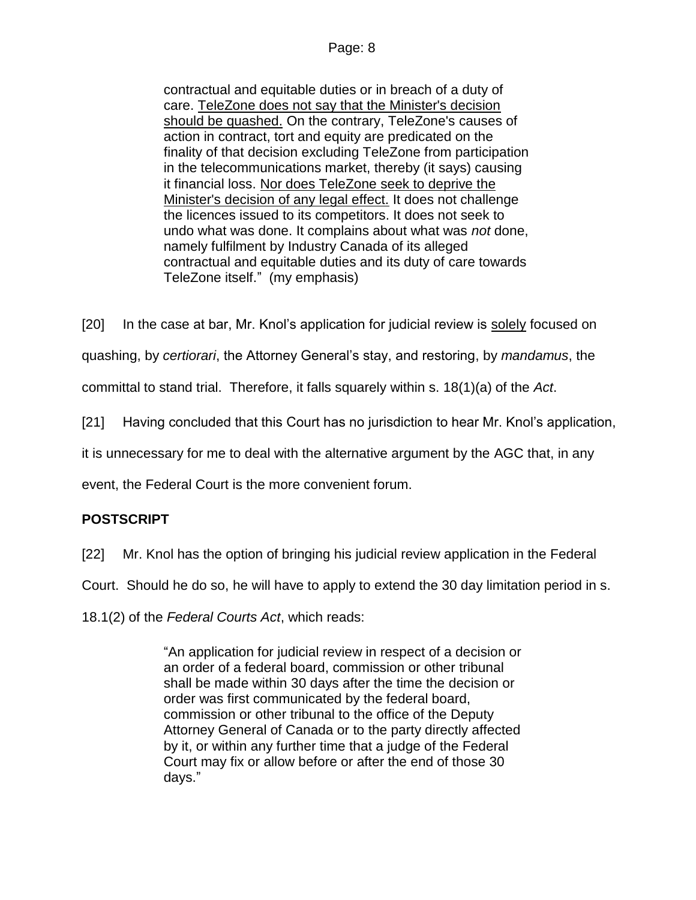#### Page: 8

contractual and equitable duties or in breach of a duty of care. TeleZone does not say that the Minister's decision should be quashed. On the contrary, TeleZone's causes of action in contract, tort and equity are predicated on the finality of that decision excluding TeleZone from participation in the telecommunications market, thereby (it says) causing it financial loss. Nor does TeleZone seek to deprive the Minister's decision of any legal effect. It does not challenge the licences issued to its competitors. It does not seek to undo what was done. It complains about what was *not* done, namely fulfilment by Industry Canada of its alleged contractual and equitable duties and its duty of care towards TeleZone itself." (my emphasis)

[20] In the case at bar, Mr. Knol's application for judicial review is solely focused on

quashing, by *certiorari*, the Attorney General's stay, and restoring, by *mandamus*, the

committal to stand trial. Therefore, it falls squarely within s. 18(1)(a) of the *Act*.

[21] Having concluded that this Court has no jurisdiction to hear Mr. Knol's application,

it is unnecessary for me to deal with the alternative argument by the AGC that, in any

event, the Federal Court is the more convenient forum.

## **POSTSCRIPT**

[22] Mr. Knol has the option of bringing his judicial review application in the Federal

Court. Should he do so, he will have to apply to extend the 30 day limitation period in s.

18.1(2) of the *Federal Courts Act*, which reads:

"An application for judicial review in respect of a decision or an order of a federal board, commission or other tribunal shall be made within 30 days after the time the decision or order was first communicated by the federal board, commission or other tribunal to the office of the Deputy Attorney General of Canada or to the party directly affected by it, or within any further time that a judge of the Federal Court may fix or allow before or after the end of those 30 days."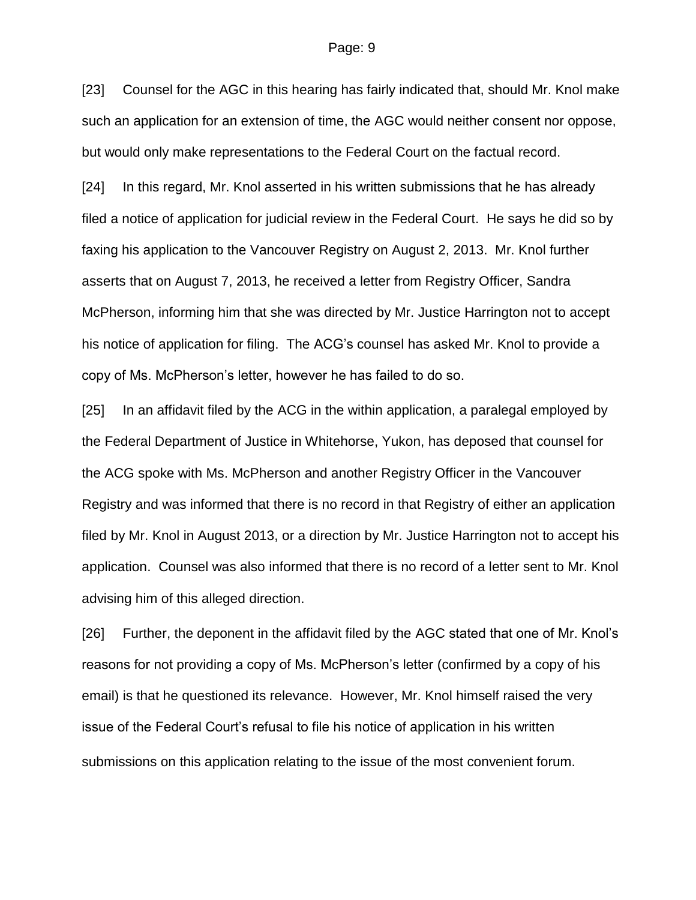#### Page: 9

[23] Counsel for the AGC in this hearing has fairly indicated that, should Mr. Knol make such an application for an extension of time, the AGC would neither consent nor oppose, but would only make representations to the Federal Court on the factual record.

[24] In this regard, Mr. Knol asserted in his written submissions that he has already filed a notice of application for judicial review in the Federal Court. He says he did so by faxing his application to the Vancouver Registry on August 2, 2013. Mr. Knol further asserts that on August 7, 2013, he received a letter from Registry Officer, Sandra McPherson, informing him that she was directed by Mr. Justice Harrington not to accept his notice of application for filing. The ACG's counsel has asked Mr. Knol to provide a copy of Ms. McPherson's letter, however he has failed to do so.

[25] In an affidavit filed by the ACG in the within application, a paralegal employed by the Federal Department of Justice in Whitehorse, Yukon, has deposed that counsel for the ACG spoke with Ms. McPherson and another Registry Officer in the Vancouver Registry and was informed that there is no record in that Registry of either an application filed by Mr. Knol in August 2013, or a direction by Mr. Justice Harrington not to accept his application. Counsel was also informed that there is no record of a letter sent to Mr. Knol advising him of this alleged direction.

[26] Further, the deponent in the affidavit filed by the AGC stated that one of Mr. Knol's reasons for not providing a copy of Ms. McPherson's letter (confirmed by a copy of his email) is that he questioned its relevance. However, Mr. Knol himself raised the very issue of the Federal Court's refusal to file his notice of application in his written submissions on this application relating to the issue of the most convenient forum.